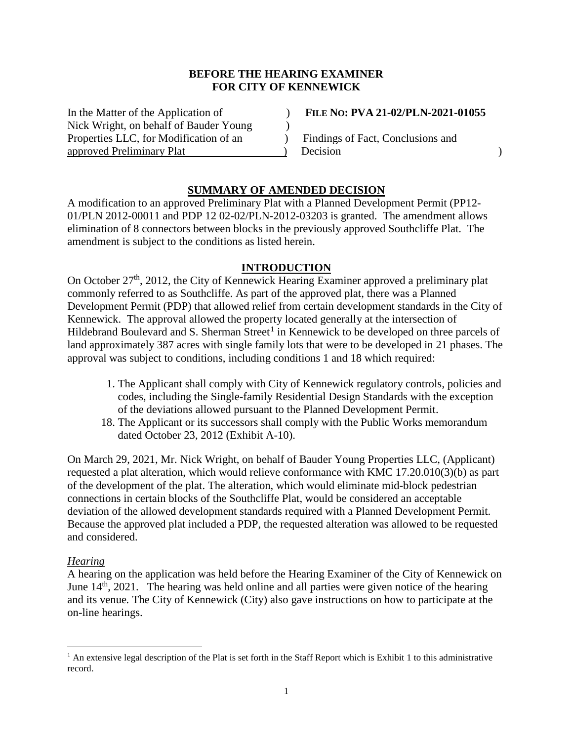## **BEFORE THE HEARING EXAMINER FOR CITY OF KENNEWICK**

In the Matter of the Application of ) **FILE NO: PVA 21-02/PLN-2021-01055** Nick Wright, on behalf of Bauder Young  $\qquad)$ Properties LLC, for Modification of an  $\qquad \qquad$  Findings of Fact, Conclusions and approved Preliminary Plat (a) Decision (a) Decision (a) Decision (b)

# **SUMMARY OF AMENDED DECISION**

A modification to an approved Preliminary Plat with a Planned Development Permit (PP12- 01/PLN 2012-00011 and PDP 12 02-02/PLN-2012-03203 is granted. The amendment allows elimination of 8 connectors between blocks in the previously approved Southcliffe Plat. The amendment is subject to the conditions as listed herein.

### **INTRODUCTION**

On October 27<sup>th</sup>, 2012, the City of Kennewick Hearing Examiner approved a preliminary plat commonly referred to as Southcliffe. As part of the approved plat, there was a Planned Development Permit (PDP) that allowed relief from certain development standards in the City of Kennewick. The approval allowed the property located generally at the intersection of Hildebrand Boulevard and S. Sherman Street<sup>[1](#page-0-0)</sup> in Kennewick to be developed on three parcels of land approximately 387 acres with single family lots that were to be developed in 21 phases. The approval was subject to conditions, including conditions 1 and 18 which required:

- 1. The Applicant shall comply with City of Kennewick regulatory controls, policies and codes, including the Single-family Residential Design Standards with the exception of the deviations allowed pursuant to the Planned Development Permit.
- 18. The Applicant or its successors shall comply with the Public Works memorandum dated October 23, 2012 (Exhibit A-10).

On March 29, 2021, Mr. Nick Wright, on behalf of Bauder Young Properties LLC, (Applicant) requested a plat alteration, which would relieve conformance with KMC 17.20.010(3)(b) as part of the development of the plat. The alteration, which would eliminate mid-block pedestrian connections in certain blocks of the Southcliffe Plat, would be considered an acceptable deviation of the allowed development standards required with a Planned Development Permit. Because the approved plat included a PDP, the requested alteration was allowed to be requested and considered.

### *Hearing*

A hearing on the application was held before the Hearing Examiner of the City of Kennewick on June  $14<sup>th</sup>$ , 2021. The hearing was held online and all parties were given notice of the hearing and its venue*.* The City of Kennewick (City) also gave instructions on how to participate at the on-line hearings.

<span id="page-0-0"></span><sup>&</sup>lt;sup>1</sup> An extensive legal description of the Plat is set forth in the Staff Report which is Exhibit 1 to this administrative record.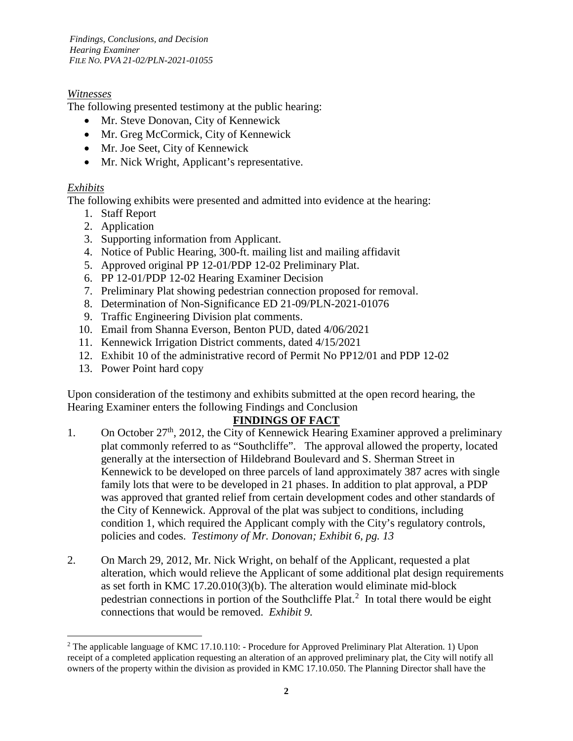*Findings, Conclusions, and Decision Hearing Examiner FILE NO. PVA 21-02/PLN-2021-01055*

# *Witnesses*

The following presented testimony at the public hearing:

- Mr. Steve Donovan, City of Kennewick
- Mr. Greg McCormick, City of Kennewick
- Mr. Joe Seet, City of Kennewick
- Mr. Nick Wright, Applicant's representative.

# *Exhibits*

The following exhibits were presented and admitted into evidence at the hearing:

- 1. Staff Report
- 2. Application
- 3. Supporting information from Applicant.
- 4. Notice of Public Hearing, 300-ft. mailing list and mailing affidavit
- 5. Approved original PP 12-01/PDP 12-02 Preliminary Plat.
- 6. PP 12-01/PDP 12-02 Hearing Examiner Decision
- 7. Preliminary Plat showing pedestrian connection proposed for removal.
- 8. Determination of Non-Significance ED 21-09/PLN-2021-01076
- 9. Traffic Engineering Division plat comments.
- 10. Email from Shanna Everson, Benton PUD, dated 4/06/2021
- 11. Kennewick Irrigation District comments, dated 4/15/2021
- 12. Exhibit 10 of the administrative record of Permit No PP12/01 and PDP 12-02
- 13. Power Point hard copy

Upon consideration of the testimony and exhibits submitted at the open record hearing, the Hearing Examiner enters the following Findings and Conclusion

# **FINDINGS OF FACT**

- 1. On October  $27<sup>th</sup>$ , 2012, the City of Kennewick Hearing Examiner approved a preliminary plat commonly referred to as "Southcliffe". The approval allowed the property, located generally at the intersection of Hildebrand Boulevard and S. Sherman Street in Kennewick to be developed on three parcels of land approximately 387 acres with single family lots that were to be developed in 21 phases. In addition to plat approval, a PDP was approved that granted relief from certain development codes and other standards of the City of Kennewick. Approval of the plat was subject to conditions, including condition 1, which required the Applicant comply with the City's regulatory controls, policies and codes. *Testimony of Mr. Donovan; Exhibit 6, pg. 13*
- 2. On March 29, 2012, Mr. Nick Wright, on behalf of the Applicant, requested a plat alteration, which would relieve the Applicant of some additional plat design requirements as set forth in KMC 17.20.010(3)(b). The alteration would eliminate mid-block pedestrian connections in portion of the Southcliffe Plat.<sup>[2](#page-1-0)</sup> In total there would be eight connections that would be removed. *Exhibit 9.*

<span id="page-1-0"></span> <sup>2</sup> The applicable language of KMC 17.10.110: - Procedure for Approved Preliminary Plat Alteration. 1) Upon receipt of a completed application requesting an alteration of an approved preliminary plat, the City will notify all owners of the property within the division as provided in KMC 17.10.050. The Planning Director shall have the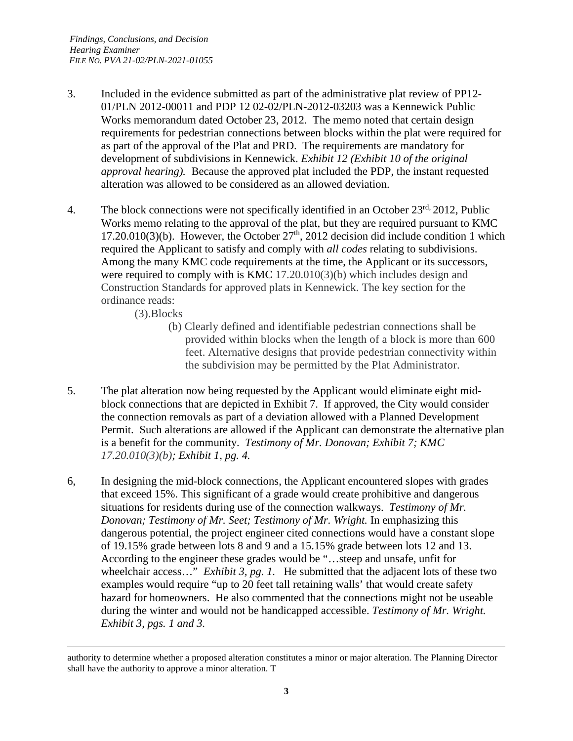- 3. Included in the evidence submitted as part of the administrative plat review of PP12- 01/PLN 2012-00011 and PDP 12 02-02/PLN-2012-03203 was a Kennewick Public Works memorandum dated October 23, 2012. The memo noted that certain design requirements for pedestrian connections between blocks within the plat were required for as part of the approval of the Plat and PRD. The requirements are mandatory for development of subdivisions in Kennewick. *Exhibit 12 (Exhibit 10 of the original approval hearing).* Because the approved plat included the PDP, the instant requested alteration was allowed to be considered as an allowed deviation.
- 4. The block connections were not specifically identified in an October  $23<sup>rd</sup>$ , 2012, Public Works memo relating to the approval of the plat, but they are required pursuant to KMC 17.20.010(3)(b). However, the October  $27<sup>th</sup>$ , 2012 decision did include condition 1 which required the Applicant to satisfy and comply with *all codes* relating to subdivisions. Among the many KMC code requirements at the time, the Applicant or its successors, were required to comply with is KMC 17.20.010(3)(b) which includes design and Construction Standards for approved plats in Kennewick. The key section for the ordinance reads:
	- (3).Blocks

 $\overline{a}$ 

- (b) Clearly defined and identifiable pedestrian connections shall be provided within blocks when the length of a block is more than 600 feet. Alternative designs that provide pedestrian connectivity within the subdivision may be permitted by the Plat Administrator.
- 5. The plat alteration now being requested by the Applicant would eliminate eight midblock connections that are depicted in Exhibit 7. If approved, the City would consider the connection removals as part of a deviation allowed with a Planned Development Permit. Such alterations are allowed if the Applicant can demonstrate the alternative plan is a benefit for the community. *Testimony of Mr. Donovan; Exhibit 7; KMC 17.20.010(3)(b); Exhibit 1, pg. 4.*
- 6, In designing the mid-block connections, the Applicant encountered slopes with grades that exceed 15%. This significant of a grade would create prohibitive and dangerous situations for residents during use of the connection walkways. *Testimony of Mr. Donovan; Testimony of Mr. Seet; Testimony of Mr. Wright.* In emphasizing this dangerous potential, the project engineer cited connections would have a constant slope of 19.15% grade between lots 8 and 9 and a 15.15% grade between lots 12 and 13. According to the engineer these grades would be "…steep and unsafe, unfit for wheelchair access…" *Exhibit 3, pg. 1.* He submitted that the adjacent lots of these two examples would require "up to 20 feet tall retaining walls' that would create safety hazard for homeowners. He also commented that the connections might not be useable during the winter and would not be handicapped accessible. *Testimony of Mr. Wright. Exhibit 3, pgs. 1 and 3.*

authority to determine whether a proposed alteration constitutes a minor or major alteration. The Planning Director shall have the authority to approve a minor alteration. T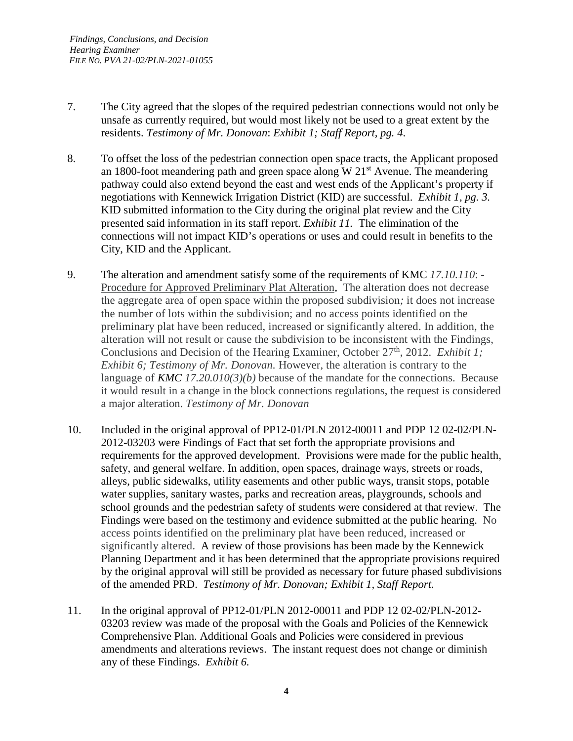- 7. The City agreed that the slopes of the required pedestrian connections would not only be unsafe as currently required, but would most likely not be used to a great extent by the residents. *Testimony of Mr. Donovan*: *Exhibit 1; Staff Report, pg. 4*.
- 8. To offset the loss of the pedestrian connection open space tracts, the Applicant proposed an 1800-foot meandering path and green space along  $W 21<sup>st</sup>$  Avenue. The meandering pathway could also extend beyond the east and west ends of the Applicant's property if negotiations with Kennewick Irrigation District (KID) are successful. *Exhibit 1, pg. 3.* KID submitted information to the City during the original plat review and the City presented said information in its staff report. *Exhibit 11.* The elimination of the connections will not impact KID's operations or uses and could result in benefits to the City, KID and the Applicant.
- 9. The alteration and amendment satisfy some of the requirements of KMC *17.10.110*: Procedure for Approved Preliminary Plat Alteration**.** The alteration does not decrease the aggregate area of open space within the proposed subdivision*;* it does not increase the number of lots within the subdivision; and no access points identified on the preliminary plat have been reduced, increased or significantly altered. In addition, the alteration will not result or cause the subdivision to be inconsistent with the Findings, Conclusions and Decision of the Hearing Examiner, October 27<sup>th</sup>, 2012. *Exhibit 1; Exhibit 6; Testimony of Mr. Donovan.* However, the alteration is contrary to the language of *KMC 17.20.010(3)(b)* because of the mandate for the connections. Because it would result in a change in the block connections regulations, the request is considered a major alteration. *Testimony of Mr. Donovan*
- 10. Included in the original approval of PP12-01/PLN 2012-00011 and PDP 12 02-02/PLN-2012-03203 were Findings of Fact that set forth the appropriate provisions and requirements for the approved development. Provisions were made for the public health, safety, and general welfare. In addition, open spaces, drainage ways, streets or roads, alleys, public sidewalks, utility easements and other public ways, transit stops, potable water supplies, sanitary wastes, parks and recreation areas, playgrounds, schools and school grounds and the pedestrian safety of students were considered at that review. The Findings were based on the testimony and evidence submitted at the public hearing. No access points identified on the preliminary plat have been reduced, increased or significantly altered. A review of those provisions has been made by the Kennewick Planning Department and it has been determined that the appropriate provisions required by the original approval will still be provided as necessary for future phased subdivisions of the amended PRD. *Testimony of Mr. Donovan; Exhibit 1, Staff Report.*
- 11. In the original approval of PP12-01/PLN 2012-00011 and PDP 12 02-02/PLN-2012- 03203 review was made of the proposal with the Goals and Policies of the Kennewick Comprehensive Plan. Additional Goals and Policies were considered in previous amendments and alterations reviews. The instant request does not change or diminish any of these Findings. *Exhibit 6.*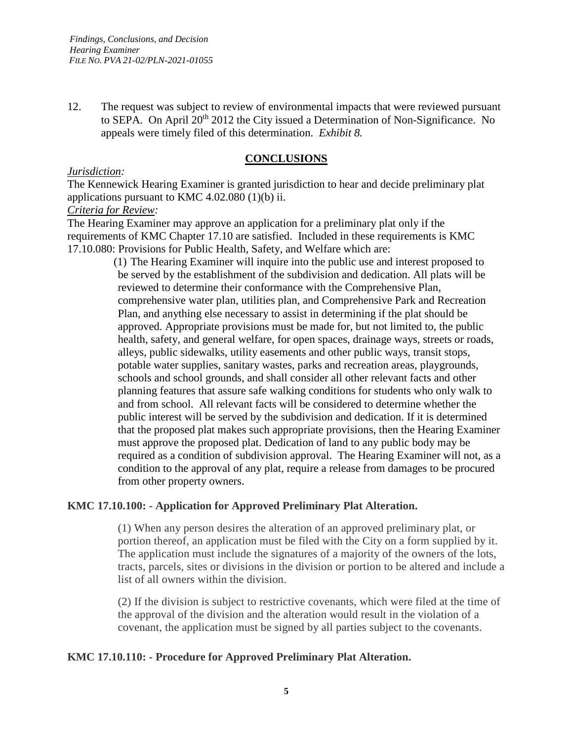12. The request was subject to review of environmental impacts that were reviewed pursuant to SEPA. On April 20<sup>th</sup> 2012 the City issued a Determination of Non-Significance. No appeals were timely filed of this determination. *Exhibit 8.*

# **CONCLUSIONS**

### *Jurisdiction:*

The Kennewick Hearing Examiner is granted jurisdiction to hear and decide preliminary plat applications pursuant to KMC 4.02.080 (1)(b) ii.

*Criteria for Review:*

The Hearing Examiner may approve an application for a preliminary plat only if the requirements of KMC Chapter 17.10 are satisfied. Included in these requirements is KMC 17.10.080: Provisions for Public Health, Safety, and Welfare which are:

(1) The Hearing Examiner will inquire into the public use and interest proposed to be served by the establishment of the subdivision and dedication. All plats will be reviewed to determine their conformance with the Comprehensive Plan, comprehensive water plan, utilities plan, and Comprehensive Park and Recreation Plan, and anything else necessary to assist in determining if the plat should be approved. Appropriate provisions must be made for, but not limited to, the public health, safety, and general welfare, for open spaces, drainage ways, streets or roads, alleys, public sidewalks, utility easements and other public ways, transit stops, potable water supplies, sanitary wastes, parks and recreation areas, playgrounds, schools and school grounds, and shall consider all other relevant facts and other planning features that assure safe walking conditions for students who only walk to and from school. All relevant facts will be considered to determine whether the public interest will be served by the subdivision and dedication. If it is determined that the proposed plat makes such appropriate provisions, then the Hearing Examiner must approve the proposed plat. Dedication of land to any public body may be required as a condition of subdivision approval. The Hearing Examiner will not, as a condition to the approval of any plat, require a release from damages to be procured from other property owners.

### **KMC 17.10.100: - Application for Approved Preliminary Plat Alteration.**

(1) When any person desires the alteration of an approved preliminary plat, or portion thereof, an application must be filed with the City on a form supplied by it. The application must include the signatures of a majority of the owners of the lots, tracts, parcels, sites or divisions in the division or portion to be altered and include a list of all owners within the division.

(2) If the division is subject to restrictive covenants, which were filed at the time of the approval of the division and the alteration would result in the violation of a covenant, the application must be signed by all parties subject to the covenants.

### **KMC 17.10.110: - Procedure for Approved Preliminary Plat Alteration.**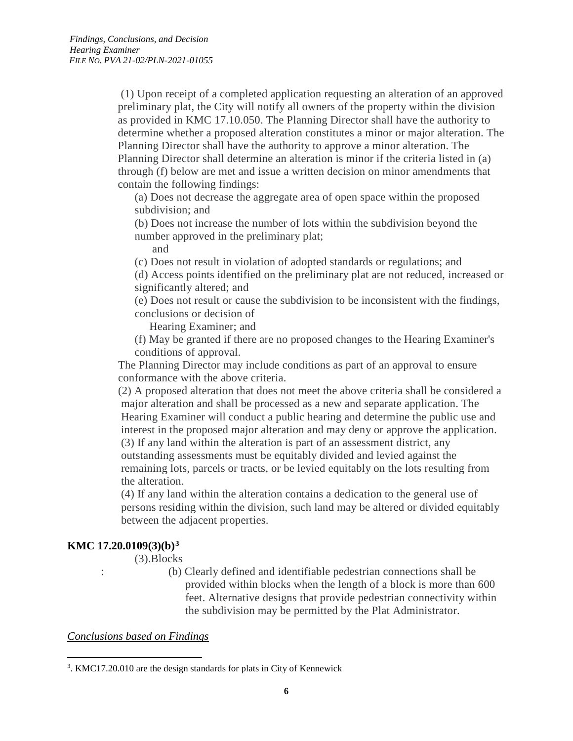(1) Upon receipt of a completed application requesting an alteration of an approved preliminary plat, the City will notify all owners of the property within the division as provided in KMC 17.10.050. The Planning Director shall have the authority to determine whether a proposed alteration constitutes a minor or major alteration. The Planning Director shall have the authority to approve a minor alteration. The Planning Director shall determine an alteration is minor if the criteria listed in (a) through (f) below are met and issue a written decision on minor amendments that contain the following findings:

(a) Does not decrease the aggregate area of open space within the proposed subdivision; and

(b) Does not increase the number of lots within the subdivision beyond the number approved in the preliminary plat;

and

(c) Does not result in violation of adopted standards or regulations; and

(d) Access points identified on the preliminary plat are not reduced, increased or significantly altered; and

(e) Does not result or cause the subdivision to be inconsistent with the findings, conclusions or decision of

Hearing Examiner; and

(f) May be granted if there are no proposed changes to the Hearing Examiner's conditions of approval.

 The Planning Director may include conditions as part of an approval to ensure conformance with the above criteria.

 (2) A proposed alteration that does not meet the above criteria shall be considered a major alteration and shall be processed as a new and separate application. The Hearing Examiner will conduct a public hearing and determine the public use and interest in the proposed major alteration and may deny or approve the application. (3) If any land within the alteration is part of an assessment district, any outstanding assessments must be equitably divided and levied against the remaining lots, parcels or tracts, or be levied equitably on the lots resulting from the alteration.

 (4) If any land within the alteration contains a dedication to the general use of persons residing within the division, such land may be altered or divided equitably between the adjacent properties.

# **KMC 17.20.0109(3)(b)[3](#page-5-0)**

(3).Blocks

: (b) Clearly defined and identifiable pedestrian connections shall be provided within blocks when the length of a block is more than 600 feet. Alternative designs that provide pedestrian connectivity within the subdivision may be permitted by the Plat Administrator.

### *Conclusions based on Findings*

<span id="page-5-0"></span> $\frac{1}{3}$ <sup>3</sup>. KMC17.20.010 are the design standards for plats in City of Kennewick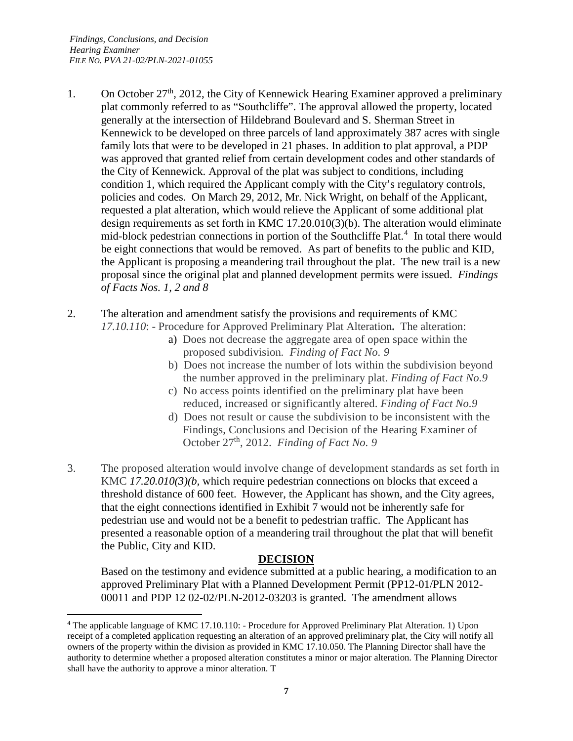- 1. On October  $27<sup>th</sup>$ , 2012, the City of Kennewick Hearing Examiner approved a preliminary plat commonly referred to as "Southcliffe". The approval allowed the property, located generally at the intersection of Hildebrand Boulevard and S. Sherman Street in Kennewick to be developed on three parcels of land approximately 387 acres with single family lots that were to be developed in 21 phases. In addition to plat approval, a PDP was approved that granted relief from certain development codes and other standards of the City of Kennewick. Approval of the plat was subject to conditions, including condition 1, which required the Applicant comply with the City's regulatory controls, policies and codes. On March 29, 2012, Mr. Nick Wright, on behalf of the Applicant, requested a plat alteration, which would relieve the Applicant of some additional plat design requirements as set forth in KMC 17.20.010(3)(b). The alteration would eliminate mid-block pedestrian connections in portion of the Southcliffe Plat.<sup>[4](#page-6-0)</sup> In total there would be eight connections that would be removed. As part of benefits to the public and KID, the Applicant is proposing a meandering trail throughout the plat. The new trail is a new proposal since the original plat and planned development permits were issued. *Findings of Facts Nos. 1, 2 and 8*
- 2. The alteration and amendment satisfy the provisions and requirements of KMC *17.10.110*: - Procedure for Approved Preliminary Plat Alteration**.** The alteration:
	- a) Does not decrease the aggregate area of open space within the proposed subdivision*. Finding of Fact No. 9*
	- b) Does not increase the number of lots within the subdivision beyond the number approved in the preliminary plat. *Finding of Fact No.9*
	- c) No access points identified on the preliminary plat have been reduced, increased or significantly altered. *Finding of Fact No.9*
	- d) Does not result or cause the subdivision to be inconsistent with the Findings, Conclusions and Decision of the Hearing Examiner of October 27<sup>th</sup>, 2012. *Finding of Fact No.* 9
- 3. The proposed alteration would involve change of development standards as set forth in KMC *17.20.010(3)(b,* which require pedestrian connections on blocks that exceed a threshold distance of 600 feet. However, the Applicant has shown, and the City agrees, that the eight connections identified in Exhibit 7 would not be inherently safe for pedestrian use and would not be a benefit to pedestrian traffic. The Applicant has presented a reasonable option of a meandering trail throughout the plat that will benefit the Public, City and KID.

# **DECISION**

Based on the testimony and evidence submitted at a public hearing, a modification to an approved Preliminary Plat with a Planned Development Permit (PP12-01/PLN 2012- 00011 and PDP 12 02-02/PLN-2012-03203 is granted. The amendment allows

<span id="page-6-0"></span> <sup>4</sup> The applicable language of KMC 17.10.110: - Procedure for Approved Preliminary Plat Alteration. 1) Upon receipt of a completed application requesting an alteration of an approved preliminary plat, the City will notify all owners of the property within the division as provided in KMC 17.10.050. The Planning Director shall have the authority to determine whether a proposed alteration constitutes a minor or major alteration. The Planning Director shall have the authority to approve a minor alteration. T